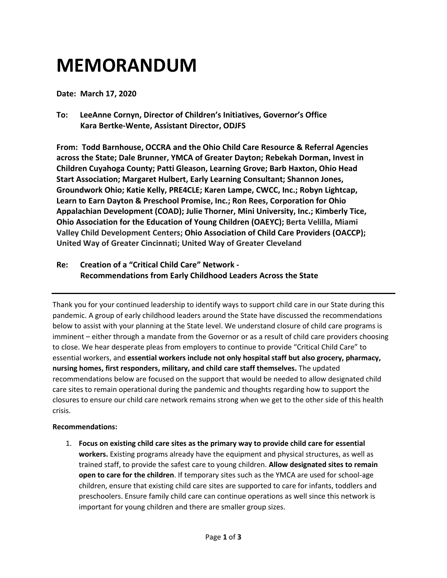## **MEMORANDUM**

**Date: March 17, 2020**

**To: LeeAnne Cornyn, Director of Children's Initiatives, Governor's Office Kara Bertke-Wente, Assistant Director, ODJFS**

**From: Todd Barnhouse, OCCRA and the Ohio Child Care Resource & Referral Agencies across the State; Dale Brunner, YMCA of Greater Dayton; Rebekah Dorman, Invest in Children Cuyahoga County; Patti Gleason, Learning Grove; Barb Haxton, Ohio Head Start Association; Margaret Hulbert, Early Learning Consultant; Shannon Jones, Groundwork Ohio; Katie Kelly, PRE4CLE; Karen Lampe, CWCC, Inc.; Robyn Lightcap, Learn to Earn Dayton & Preschool Promise, Inc.; Ron Rees, Corporation for Ohio Appalachian Development (COAD); Julie Thorner, Mini University, Inc.; Kimberly Tice, Ohio Association for the Education of Young Children (OAEYC); Berta Velilla, Miami Valley Child Development Centers; Ohio Association of Child Care Providers (OACCP); United Way of Greater Cincinnati; United Way of Greater Cleveland**

**Re: Creation of a "Critical Child Care" Network - Recommendations from Early Childhood Leaders Across the State**

Thank you for your continued leadership to identify ways to support child care in our State during this pandemic. A group of early childhood leaders around the State have discussed the recommendations below to assist with your planning at the State level. We understand closure of child care programs is imminent – either through a mandate from the Governor or as a result of child care providers choosing to close. We hear desperate pleas from employers to continue to provide "Critical Child Care" to essential workers, and **essential workers include not only hospital staff but also grocery, pharmacy, nursing homes, first responders, military, and child care staff themselves.** The updated recommendations below are focused on the support that would be needed to allow designated child care sites to remain operational during the pandemic and thoughts regarding how to support the closures to ensure our child care network remains strong when we get to the other side of this health crisis.

## **Recommendations:**

1. **Focus on existing child care sites as the primary way to provide child care for essential workers.** Existing programs already have the equipment and physical structures, as well as trained staff, to provide the safest care to young children. **Allow designated sites to remain open to care for the children**. If temporary sites such as the YMCA are used for school-age children, ensure that existing child care sites are supported to care for infants, toddlers and preschoolers. Ensure family child care can continue operations as well since this network is important for young children and there are smaller group sizes.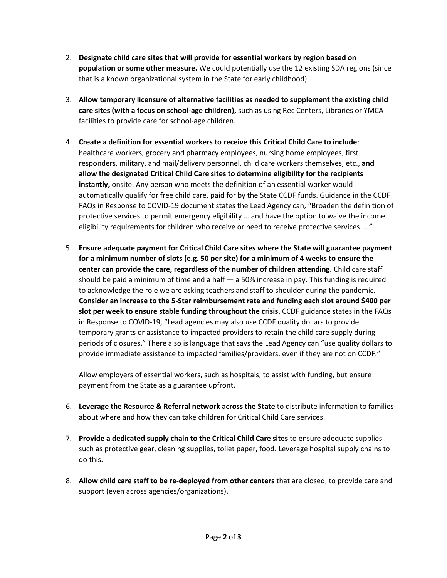- 2. **Designate child care sites that will provide for essential workers by region based on population or some other measure.** We could potentially use the 12 existing SDA regions (since that is a known organizational system in the State for early childhood).
- 3. **Allow temporary licensure of alternative facilities as needed to supplement the existing child care sites (with a focus on school-age children),** such as using Rec Centers, Libraries or YMCA facilities to provide care for school-age children.
- 4. **Create a definition for essential workers to receive this Critical Child Care to include**: healthcare workers, grocery and pharmacy employees, nursing home employees, first responders, military, and mail/delivery personnel, child care workers themselves, etc., **and allow the designated Critical Child Care sites to determine eligibility for the recipients instantly,** onsite. Any person who meets the definition of an essential worker would automatically qualify for free child care, paid for by the State CCDF funds. Guidance in the CCDF FAQs in Response to COVID-19 document states the Lead Agency can, "Broaden the definition of protective services to permit emergency eligibility … and have the option to waive the income eligibility requirements for children who receive or need to receive protective services. …"
- 5. **Ensure adequate payment for Critical Child Care sites where the State will guarantee payment for a minimum number of slots (e.g. 50 per site) for a minimum of 4 weeks to ensure the center can provide the care, regardless of the number of children attending.** Child care staff should be paid a minimum of time and a half  $-$  a 50% increase in pay. This funding is required to acknowledge the role we are asking teachers and staff to shoulder during the pandemic. **Consider an increase to the 5-Star reimbursement rate and funding each slot around \$400 per slot per week to ensure stable funding throughout the crisis.** CCDF guidance states in the FAQs in Response to COVID-19, "Lead agencies may also use CCDF quality dollars to provide temporary grants or assistance to impacted providers to retain the child care supply during periods of closures." There also is language that says the Lead Agency can "use quality dollars to provide immediate assistance to impacted families/providers, even if they are not on CCDF."

Allow employers of essential workers, such as hospitals, to assist with funding, but ensure payment from the State as a guarantee upfront.

- 6. **Leverage the Resource & Referral network across the State** to distribute information to families about where and how they can take children for Critical Child Care services.
- 7. **Provide a dedicated supply chain to the Critical Child Care sites** to ensure adequate supplies such as protective gear, cleaning supplies, toilet paper, food. Leverage hospital supply chains to do this.
- 8. **Allow child care staff to be re-deployed from other centers** that are closed, to provide care and support (even across agencies/organizations).